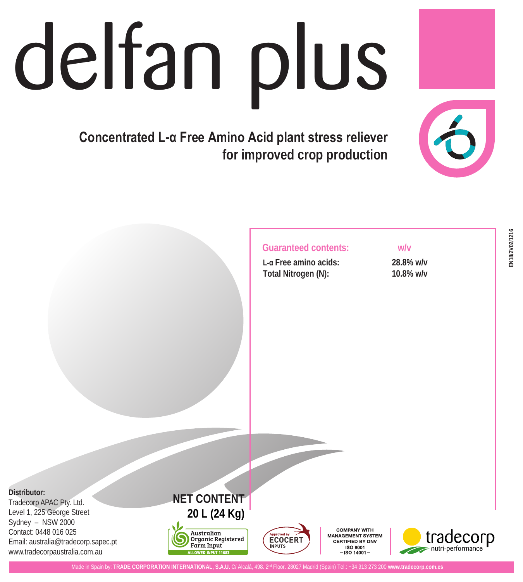# delfan plus

**Concentrated L-α Free Amino Acid plant stress reliever for improved crop production**



# **Guaranteed contents: w/v**

**L-α Free amino acids: 28.8% w/v Total Nitrogen (N): 10.8% w/v**

**Distributor:**

Tradecorp APAC Pty. Ltd. Level 1, 225 George Street Sydney – NSW 2000 Contact: 0448 016 025 Email: australia@tradecorp.sapec.pt www.tradecorpaustralia.com.au







**COMPANY WITH** MANAGEMENT SYSTEM CERTIFIED BY DNV  $=$ ISO 9001 $=$  $=$  ISO 14001 =



**INPUTS**